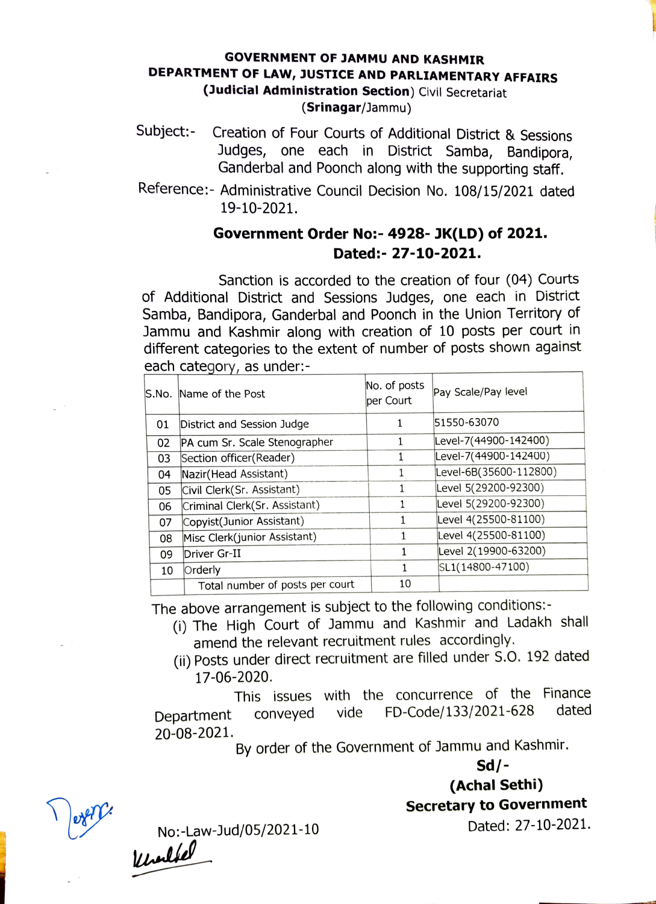## GOVERNMENT OF JAMMU AND KASHMIR DEPARTMENT OF LAW, JUSTICE AND PARLIAMENTARY AFFAIRS (Judicial Administration Section) Civil Secretariat (Srinagar/Jammu)

- Subject:- Creation of Four Courts of Additional District & Sessions Judges, one each in District Samba, Bandipora, Ganderbal and Poonch along with the supporting staff.
- Reference:- Administrative Council Decision No. 108/15/2021 dated 19-10-2021.

## Government Order No:- 4928-JK(LD) of 2021. Dated: - 27-10-2021.

Sanction is accorded to the creation of four (04) Courts of Additional District and Sessions Judges, one each in District Samba, Bandipora, Ganderbal and Poonch in the Union Territory of Jammu and Kashmir along with creation of 10 posts per court in different categories to the extent of number of posts shown against each category, as under:-

|    | S.No. Name of the Post          | No. of posts<br>per Court | Pay Scale/Pay level    |
|----|---------------------------------|---------------------------|------------------------|
| 01 | District and Session Judge      |                           | 51550-63070            |
| 02 | PA cum Sr. Scale Stenographer   |                           | Level-7(44900-142400)  |
| 03 | Section officer(Reader)         |                           | Level-7(44900-142400)  |
| 04 | Nazir(Head Assistant)           | 1                         | Level-6B(35600-112800) |
| 05 | Civil Clerk(Sr. Assistant)      |                           | Level 5(29200-92300)   |
| 06 | Criminal Clerk(Sr. Assistant)   |                           | Level 5(29200-92300)   |
| 07 | Copyist(Junior Assistant)       |                           | Level 4(25500-81100)   |
| 08 | Misc Clerk(junior Assistant)    |                           | Level 4(25500-81100)   |
| 09 | Driver Gr-II                    |                           | Level 2(19900-63200)   |
| 10 | Orderly                         |                           | SL1(14800-47100)       |
|    | Total number of posts per court | 10                        |                        |

The above arrangement is subject to the following conditions:-

- (i) The High Court of Jammu and Kashmir and Ladakh shall amend the relevant recruitment rules accordingly.
- (i) Posts under direct recruitment are filled under S.O. 192 dated 17-06-2020.

This issues with the concurrence of the Finance<br>conveyed vide FD-Code/133/2021-628 dated Department conveyed vide FD-Code/133/2021-628 20-08-2021.

By order of the Government of Jammu and Kashmir.

Sd/-

(Achal Sethi)

Secretary to Government

Dated: 27-10-2021. No:-Law-Jud/05/2021-10 Khalfel